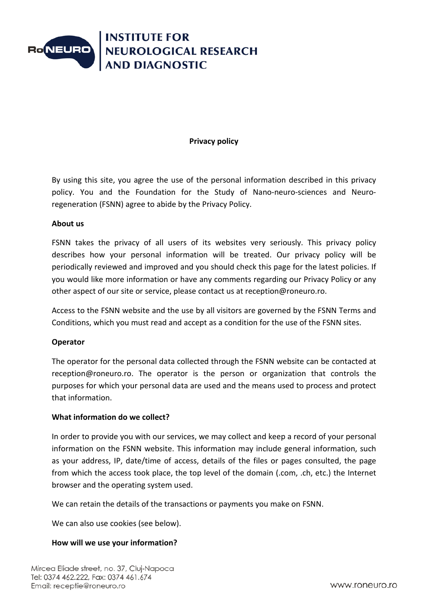

# **Privacy policy**

By using this site, you agree the use of the personal information described in this privacy policy. You and the Foundation for the Study of Nano-neuro-sciences and Neuroregeneration (FSNN) agree to abide by the Privacy Policy.

### **About us**

FSNN takes the privacy of all users of its websites very seriously. This privacy policy describes how your personal information will be treated. Our privacy policy will be periodically reviewed and improved and you should check this page for the latest policies. If you would like more information or have any comments regarding our Privacy Policy or any other aspect of our site or service, please contact us at reception@roneuro.ro.

Access to the FSNN website and the use by all visitors are governed by the FSNN Terms and Conditions, which you must read and accept as a condition for the use of the FSNN sites.

### **Operator**

The operator for the personal data collected through the FSNN website can be contacted at reception@roneuro.ro. The operator is the person or organization that controls the purposes for which your personal data are used and the means used to process and protect that information.

### **What information do we collect?**

In order to provide you with our services, we may collect and keep a record of your personal information on the FSNN website. This information may include general information, such as your address, IP, date/time of access, details of the files or pages consulted, the page from which the access took place, the top level of the domain (.com, .ch, etc.) the Internet browser and the operating system used.

We can retain the details of the transactions or payments you make on FSNN.

We can also use cookies (see below).

### **How will we use your information?**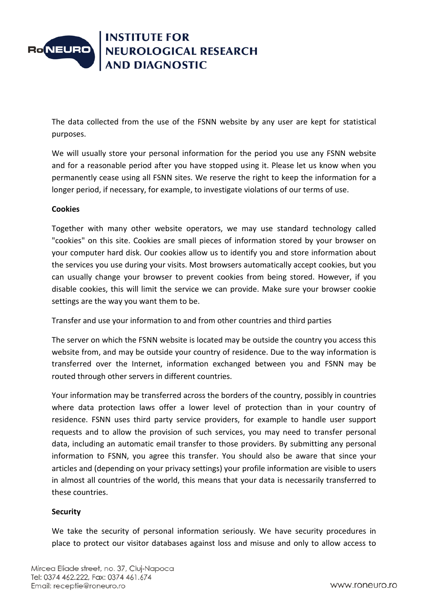

The data collected from the use of the FSNN website by any user are kept for statistical purposes.

We will usually store your personal information for the period you use any FSNN website and for a reasonable period after you have stopped using it. Please let us know when you permanently cease using all FSNN sites. We reserve the right to keep the information for a longer period, if necessary, for example, to investigate violations of our terms of use.

# **Cookies**

Together with many other website operators, we may use standard technology called "cookies" on this site. Cookies are small pieces of information stored by your browser on your computer hard disk. Our cookies allow us to identify you and store information about the services you use during your visits. Most browsers automatically accept cookies, but you can usually change your browser to prevent cookies from being stored. However, if you disable cookies, this will limit the service we can provide. Make sure your browser cookie settings are the way you want them to be.

Transfer and use your information to and from other countries and third parties

The server on which the FSNN website is located may be outside the country you access this website from, and may be outside your country of residence. Due to the way information is transferred over the Internet, information exchanged between you and FSNN may be routed through other servers in different countries.

Your information may be transferred across the borders of the country, possibly in countries where data protection laws offer a lower level of protection than in your country of residence. FSNN uses third party service providers, for example to handle user support requests and to allow the provision of such services, you may need to transfer personal data, including an automatic email transfer to those providers. By submitting any personal information to FSNN, you agree this transfer. You should also be aware that since your articles and (depending on your privacy settings) your profile information are visible to users in almost all countries of the world, this means that your data is necessarily transferred to these countries.

# **Security**

We take the security of personal information seriously. We have security procedures in place to protect our visitor databases against loss and misuse and only to allow access to